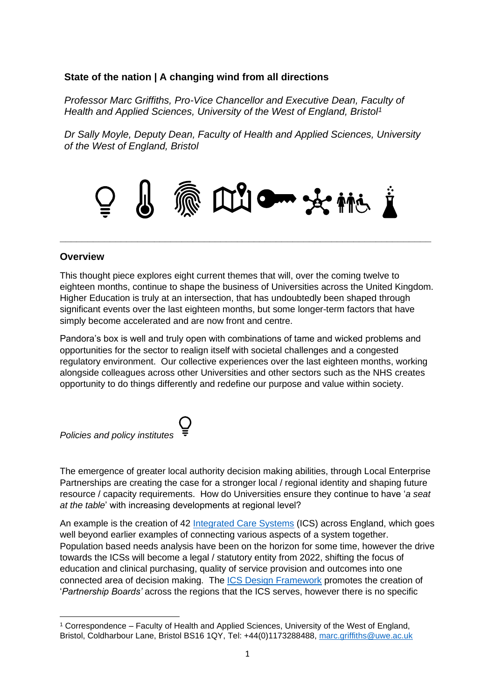### **State of the nation | A changing wind from all directions**

*Professor Marc Griffiths, Pro-Vice Chancellor and Executive Dean, Faculty of Health and Applied Sciences, University of the West of England, Bristol<sup>1</sup>*

*Dr Sally Moyle, Deputy Dean, Faculty of Health and Applied Sciences, University of the West of England, Bristol*



**\_\_\_\_\_\_\_\_\_\_\_\_\_\_\_\_\_\_\_\_\_\_\_\_\_\_\_\_\_\_\_\_\_\_\_\_\_\_\_\_\_\_\_\_\_\_\_\_\_\_\_\_\_\_\_\_\_\_\_\_\_\_\_\_\_\_\_** 

### **Overview**

This thought piece explores eight current themes that will, over the coming twelve to eighteen months, continue to shape the business of Universities across the United Kingdom. Higher Education is truly at an intersection, that has undoubtedly been shaped through significant events over the last eighteen months, but some longer-term factors that have simply become accelerated and are now front and centre.

Pandora's box is well and truly open with combinations of tame and wicked problems and opportunities for the sector to realign itself with societal challenges and a congested regulatory environment. Our collective experiences over the last eighteen months, working alongside colleagues across other Universities and other sectors such as the NHS creates opportunity to do things differently and redefine our purpose and value within society.



The emergence of greater local authority decision making abilities, through Local Enterprise Partnerships are creating the case for a stronger local / regional identity and shaping future resource / capacity requirements. How do Universities ensure they continue to have '*a seat at the table*' with increasing developments at regional level?

An example is the creation of 42 [Integrated Care Systems](https://www.kingsfund.org.uk/publications/integrated-care-systems-explained?utm_source=twitter&utm_medium=social&utm_term=thekingsfund#legislative-change) (ICS) across England, which goes well beyond earlier examples of connecting various aspects of a system together. Population based needs analysis have been on the horizon for some time, however the drive towards the ICSs will become a legal / statutory entity from 2022, shifting the focus of education and clinical purchasing, quality of service provision and outcomes into one connected area of decision making. The [ICS Design Framework](https://www.england.nhs.uk/wp-content/uploads/2021/06/B0642-ics-design-framework-june-2021.pdf) promotes the creation of '*Partnership Boards'* across the regions that the ICS serves, however there is no specific

<sup>1</sup> Correspondence – Faculty of Health and Applied Sciences, University of the West of England, Bristol, Coldharbour Lane, Bristol BS16 1QY, Tel: +44(0)1173288488, [marc.griffiths@uwe.ac.uk](mailto:marc.griffiths@uwe.ac.uk)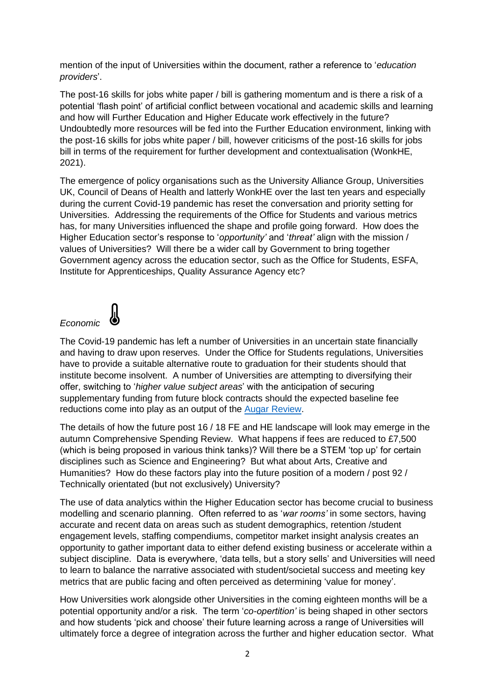mention of the input of Universities within the document, rather a reference to '*education providers*'.

The post-16 skills for jobs white paper / bill is gathering momentum and is there a risk of a potential 'flash point' of artificial conflict between vocational and academic skills and learning and how will Further Education and Higher Educate work effectively in the future? Undoubtedly more resources will be fed into the Further Education environment, linking with the post-16 skills for jobs white paper / bill, however criticisms of the post-16 skills for jobs bill in terms of the requirement for further development and contextualisation (WonkHE, 2021).

The emergence of policy organisations such as the University Alliance Group, Universities UK, Council of Deans of Health and latterly WonkHE over the last ten years and especially during the current Covid-19 pandemic has reset the conversation and priority setting for Universities. Addressing the requirements of the Office for Students and various metrics has, for many Universities influenced the shape and profile going forward. How does the Higher Education sector's response to '*opportunity'* and '*threat'* align with the mission / values of Universities? Will there be a wider call by Government to bring together Government agency across the education sector, such as the Office for Students, ESFA, Institute for Apprenticeships, Quality Assurance Agency etc?

### *Economic*



The Covid-19 pandemic has left a number of Universities in an uncertain state financially and having to draw upon reserves. Under the Office for Students regulations, Universities have to provide a suitable alternative route to graduation for their students should that institute become insolvent. A number of Universities are attempting to diversifying their offer, switching to '*higher value subject areas*' with the anticipation of securing supplementary funding from future block contracts should the expected baseline fee reductions come into play as an output of the [Augar Review.](https://www.gov.uk/government/publications/post-18-education-and-funding-review-interim-conclusion)

The details of how the future post 16 / 18 FE and HE landscape will look may emerge in the autumn Comprehensive Spending Review. What happens if fees are reduced to £7,500 (which is being proposed in various think tanks)? Will there be a STEM 'top up' for certain disciplines such as Science and Engineering? But what about Arts, Creative and Humanities? How do these factors play into the future position of a modern / post 92 / Technically orientated (but not exclusively) University?

The use of data analytics within the Higher Education sector has become crucial to business modelling and scenario planning. Often referred to as '*war rooms'* in some sectors, having accurate and recent data on areas such as student demographics, retention /student engagement levels, staffing compendiums, competitor market insight analysis creates an opportunity to gather important data to either defend existing business or accelerate within a subject discipline. Data is everywhere, 'data tells, but a story sells' and Universities will need to learn to balance the narrative associated with student/societal success and meeting key metrics that are public facing and often perceived as determining 'value for money'.

How Universities work alongside other Universities in the coming eighteen months will be a potential opportunity and/or a risk. The term '*co-opertition'* is being shaped in other sectors and how students 'pick and choose' their future learning across a range of Universities will ultimately force a degree of integration across the further and higher education sector. What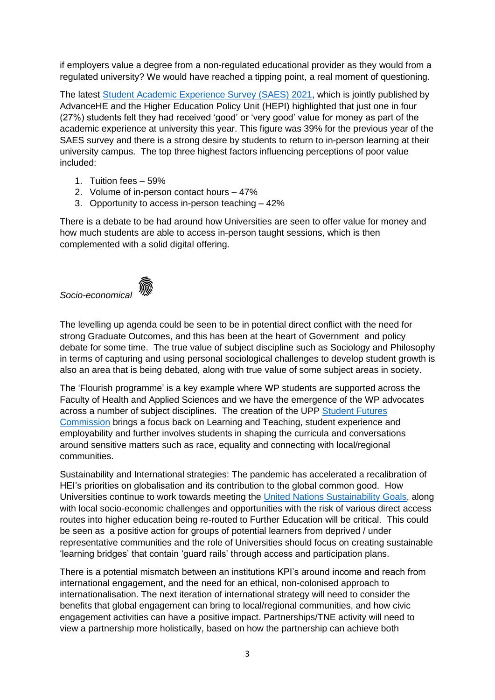if employers value a degree from a non-regulated educational provider as they would from a regulated university? We would have reached a tipping point, a real moment of questioning.

The latest [Student Academic Experience](https://s3.eu-west-2.amazonaws.com/assets.creode.advancehe-document-manager/documents/advance-he/Adv_SAES_2021_FINAL_1624460313.pdf) Survey (SAES) 2021, which is jointly published by AdvanceHE and the Higher Education Policy Unit (HEPI) highlighted that just one in four (27%) students felt they had received 'good' or 'very good' value for money as part of the academic experience at university this year. This figure was 39% for the previous year of the SAES survey and there is a strong desire by students to return to in-person learning at their university campus. The top three highest factors influencing perceptions of poor value included:

- 1. Tuition fees 59%
- 2. Volume of in-person contact hours 47%
- 3. Opportunity to access in-person teaching 42%

There is a debate to be had around how Universities are seen to offer value for money and how much students are able to access in-person taught sessions, which is then complemented with a solid digital offering.



The levelling up agenda could be seen to be in potential direct conflict with the need for strong Graduate Outcomes, and this has been at the heart of Government and policy debate for some time. The true value of subject discipline such as Sociology and Philosophy in terms of capturing and using personal sociological challenges to develop student growth is also an area that is being debated, along with true value of some subject areas in society.

The 'Flourish programme' is a key example where WP students are supported across the Faculty of Health and Applied Sciences and we have the emergence of the WP advocates across a number of subject disciplines. The creation of the UPP Student Futures [Commission](https://wonkhe.com/blogs/student-futures-during-and-beyond-covid-19/) brings a focus back on Learning and Teaching, student experience and employability and further involves students in shaping the curricula and conversations around sensitive matters such as race, equality and connecting with local/regional communities.

Sustainability and International strategies: The pandemic has accelerated a recalibration of HEI's priorities on globalisation and its contribution to the global common good. How Universities continue to work towards meeting the [United Nations Sustainability Goals,](https://sdgs.un.org/goals) along with local socio-economic challenges and opportunities with the risk of various direct access routes into higher education being re-routed to Further Education will be critical. This could be seen as a positive action for groups of potential learners from deprived / under representative communities and the role of Universities should focus on creating sustainable 'learning bridges' that contain 'guard rails' through access and participation plans.

There is a potential mismatch between an institutions KPI's around income and reach from international engagement, and the need for an ethical, non-colonised approach to internationalisation. The next iteration of international strategy will need to consider the benefits that global engagement can bring to local/regional communities, and how civic engagement activities can have a positive impact. Partnerships/TNE activity will need to view a partnership more holistically, based on how the partnership can achieve both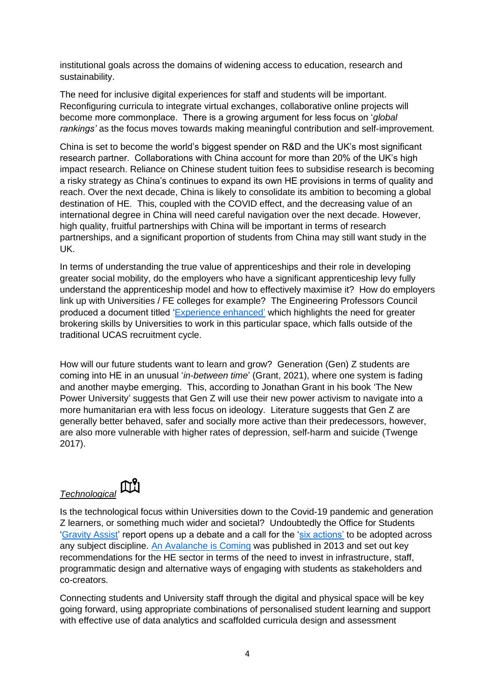institutional goals across the domains of widening access to education, research and sustainability.

The need for inclusive digital experiences for staff and students will be important. Reconfiguring curricula to integrate virtual exchanges, collaborative online projects will become more commonplace. There is a growing argument for less focus on '*global rankings'* as the focus moves towards making meaningful contribution and self-improvement.

China is set to become the world's biggest spender on R&D and the UK's most significant research partner. Collaborations with China account for more than 20% of the UK's high impact research. Reliance on Chinese student tuition fees to subsidise research is becoming a risky strategy as China's continues to expand its own HE provisions in terms of quality and reach. Over the next decade, China is likely to consolidate its ambition to becoming a global destination of HE. This, coupled with the COVID effect, and the decreasing value of an international degree in China will need careful navigation over the next decade. However, high quality, fruitful partnerships with China will be important in terms of research partnerships, and a significant proportion of students from China may still want study in the UK.

In terms of understanding the true value of apprenticeships and their role in developing greater social mobility, do the employers who have a significant apprenticeship levy fully understand the apprenticeship model and how to effectively maximise it? How do employers link up with Universities / FE colleges for example? The Engineering Professors Council produced a document titled ['Experience enhanced'](https://epc.ac.uk/experience-enhanced/) which highlights the need for greater brokering skills by Universities to work in this particular space, which falls outside of the traditional UCAS recruitment cycle.

How will our future students want to learn and grow? Generation (Gen) Z students are coming into HE in an unusual '*in-between time*' (Grant, 2021), where one system is fading and another maybe emerging. This, according to Jonathan Grant in his book 'The New Power University' suggests that Gen Z will use their new power activism to navigate into a more humanitarian era with less focus on ideology. Literature suggests that Gen Z are generally better behaved, safer and socially more active than their predecessors, however, are also more vulnerable with higher rates of depression, self-harm and suicide (Twenge 2017).

# *Technological*



Is the technological focus within Universities down to the Covid-19 pandemic and generation Z learners, or something much wider and societal? Undoubtedly the Office for Students ['Gravity Assist'](https://www.officeforstudents.org.uk/publications/gravity-assist-propelling-higher-education-towards-a-brighter-future/six-actions-for-2021-22/) report opens up a debate and a call for the ['six actions'](https://www.officeforstudents.org.uk/publications/gravity-assist-propelling-higher-education-towards-a-brighter-future/six-actions-for-2021-22/) to be adopted across any subject discipline. An [Avalanche is Coming](https://www.ippr.org/publications/an-avalanche-is-coming-higher-education-and-the-revolution-ahead) was published in 2013 and set out key recommendations for the HE sector in terms of the need to invest in infrastructure, staff, programmatic design and alternative ways of engaging with students as stakeholders and co-creators.

Connecting students and University staff through the digital and physical space will be key going forward, using appropriate combinations of personalised student learning and support with effective use of data analytics and scaffolded curricula design and assessment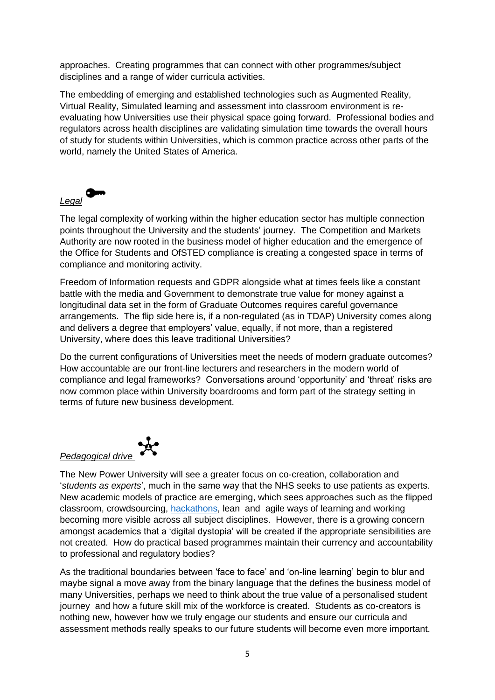approaches. Creating programmes that can connect with other programmes/subject disciplines and a range of wider curricula activities.

The embedding of emerging and established technologies such as Augmented Reality, Virtual Reality, Simulated learning and assessment into classroom environment is reevaluating how Universities use their physical space going forward. Professional bodies and regulators across health disciplines are validating simulation time towards the overall hours of study for students within Universities, which is common practice across other parts of the world, namely the United States of America.



The legal complexity of working within the higher education sector has multiple connection points throughout the University and the students' journey. The Competition and Markets Authority are now rooted in the business model of higher education and the emergence of the Office for Students and OfSTED compliance is creating a congested space in terms of compliance and monitoring activity.

Freedom of Information requests and GDPR alongside what at times feels like a constant battle with the media and Government to demonstrate true value for money against a longitudinal data set in the form of Graduate Outcomes requires careful governance arrangements. The flip side here is, if a non-regulated (as in TDAP) University comes along and delivers a degree that employers' value, equally, if not more, than a registered University, where does this leave traditional Universities?

Do the current configurations of Universities meet the needs of modern graduate outcomes? How accountable are our front-line lecturers and researchers in the modern world of compliance and legal frameworks? Conversations around 'opportunity' and 'threat' risks are now common place within University boardrooms and form part of the strategy setting in terms of future new business development.



The New Power University will see a greater focus on co-creation, collaboration and '*students as experts*', much in the same way that the NHS seeks to use patients as experts. New academic models of practice are emerging, which sees approaches such as the flipped classroom, crowdsourcing, [hackathons,](https://www.kcl.ac.uk/news/students-solve-problems-in-hackathon-for-the-ministry-of-defence) lean and agile ways of learning and working becoming more visible across all subject disciplines. However, there is a growing concern amongst academics that a 'digital dystopia' will be created if the appropriate sensibilities are not created. How do practical based programmes maintain their currency and accountability to professional and regulatory bodies?

As the traditional boundaries between 'face to face' and 'on-line learning' begin to blur and maybe signal a move away from the binary language that the defines the business model of many Universities, perhaps we need to think about the true value of a personalised student journey and how a future skill mix of the workforce is created. Students as co-creators is nothing new, however how we truly engage our students and ensure our curricula and assessment methods really speaks to our future students will become even more important.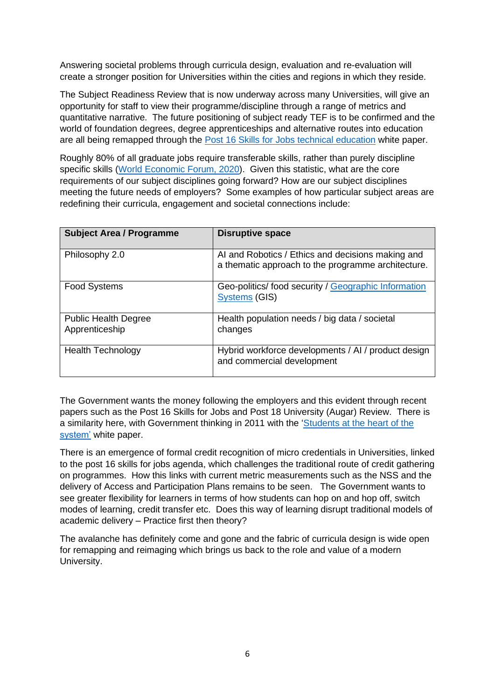Answering societal problems through curricula design, evaluation and re-evaluation will create a stronger position for Universities within the cities and regions in which they reside.

The Subject Readiness Review that is now underway across many Universities, will give an opportunity for staff to view their programme/discipline through a range of metrics and quantitative narrative. The future positioning of subject ready TEF is to be confirmed and the world of foundation degrees, degree apprenticeships and alternative routes into education are all being remapped through the [Post 16 Skills for Jobs technical education](https://www.gov.uk/government/publications/skills-for-jobs-lifelong-learning-for-opportunity-and-growth) white paper.

Roughly 80% of all graduate jobs require transferable skills, rather than purely discipline specific skills [\(World Economic Forum, 2020\)](http://www3.weforum.org/docs/WEF_Future_of_Jobs_2020.pdf). Given this statistic, what are the core requirements of our subject disciplines going forward? How are our subject disciplines meeting the future needs of employers? Some examples of how particular subject areas are redefining their curricula, engagement and societal connections include:

| <b>Subject Area / Programme</b>               | <b>Disruptive space</b>                                                                                 |
|-----------------------------------------------|---------------------------------------------------------------------------------------------------------|
| Philosophy 2.0                                | AI and Robotics / Ethics and decisions making and<br>a thematic approach to the programme architecture. |
| <b>Food Systems</b>                           | Geo-politics/ food security / Geographic Information<br><b>Systems (GIS)</b>                            |
| <b>Public Health Degree</b><br>Apprenticeship | Health population needs / big data / societal<br>changes                                                |
| <b>Health Technology</b>                      | Hybrid workforce developments / AI / product design<br>and commercial development                       |

The Government wants the money following the employers and this evident through recent papers such as the Post 16 Skills for Jobs and Post 18 University (Augar) Review. There is a similarity here, with Government thinking in 2011 with the ['Students at the heart of the](https://www.gov.uk/government/consultations/higher-education-white-paper-students-at-the-heart-of-the-system)  [system'](https://www.gov.uk/government/consultations/higher-education-white-paper-students-at-the-heart-of-the-system) white paper.

There is an emergence of formal credit recognition of micro credentials in Universities, linked to the post 16 skills for jobs agenda, which challenges the traditional route of credit gathering on programmes. How this links with current metric measurements such as the NSS and the delivery of Access and Participation Plans remains to be seen. The Government wants to see greater flexibility for learners in terms of how students can hop on and hop off, switch modes of learning, credit transfer etc. Does this way of learning disrupt traditional models of academic delivery – Practice first then theory?

The avalanche has definitely come and gone and the fabric of curricula design is wide open for remapping and reimaging which brings us back to the role and value of a modern University.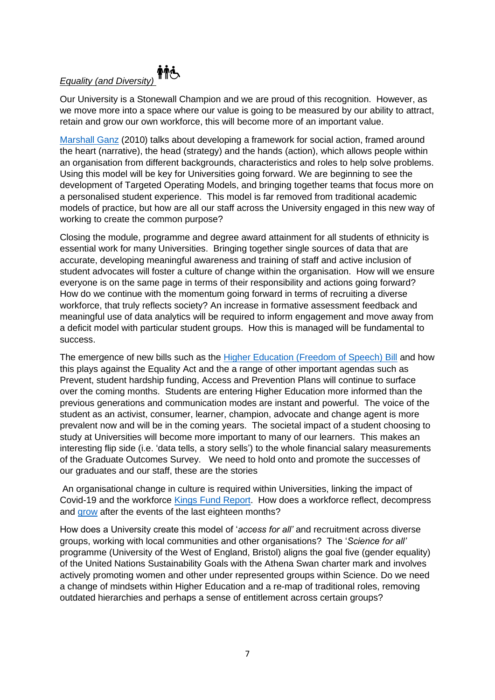## **輔心** *Equality (and Diversity)*

Our University is a Stonewall Champion and we are proud of this recognition. However, as we move more into a space where our value is going to be measured by our ability to attract, retain and grow our own workforce, this will become more of an important value.

[Marshall Ganz](https://marshallganz.usmblogs.com/files/2012/08/Chapter-19-Leading-Change-Leadership-Organization-and-Social-Movements.pdf) (2010) talks about developing a framework for social action, framed around the heart (narrative), the head (strategy) and the hands (action), which allows people within an organisation from different backgrounds, characteristics and roles to help solve problems. Using this model will be key for Universities going forward. We are beginning to see the development of Targeted Operating Models, and bringing together teams that focus more on a personalised student experience. This model is far removed from traditional academic models of practice, but how are all our staff across the University engaged in this new way of working to create the common purpose?

Closing the module, programme and degree award attainment for all students of ethnicity is essential work for many Universities. Bringing together single sources of data that are accurate, developing meaningful awareness and training of staff and active inclusion of student advocates will foster a culture of change within the organisation. How will we ensure everyone is on the same page in terms of their responsibility and actions going forward? How do we continue with the momentum going forward in terms of recruiting a diverse workforce, that truly reflects society? An increase in formative assessment feedback and meaningful use of data analytics will be required to inform engagement and move away from a deficit model with particular student groups. How this is managed will be fundamental to success.

The emergence of new bills such as the [Higher Education \(Freedom of Speech\) Bill](https://commonslibrary.parliament.uk/research-briefings/cbp-9215/) and how this plays against the Equality Act and the a range of other important agendas such as Prevent, student hardship funding, Access and Prevention Plans will continue to surface over the coming months. Students are entering Higher Education more informed than the previous generations and communication modes are instant and powerful. The voice of the student as an activist, consumer, learner, champion, advocate and change agent is more prevalent now and will be in the coming years. The societal impact of a student choosing to study at Universities will become more important to many of our learners. This makes an interesting flip side (i.e. 'data tells, a story sells') to the whole financial salary measurements of the Graduate Outcomes Survey. We need to hold onto and promote the successes of our graduates and our staff, these are the stories

An organisational change in culture is required within Universities, linking the impact of Covid-19 and the workforce [Kings Fund Report.](https://www.kingsfund.org.uk/blog/2021/05/working-organisational-culture-covid-19) How does a workforce reflect, decompress and [grow](https://hbr.org/2020/07/growth-after-trauma) after the events of the last eighteen months?

How does a University create this model of '*access for all'* and recruitment across diverse groups, working with local communities and other organisations? The '*Science for all'* programme (University of the West of England, Bristol) aligns the goal five (gender equality) of the United Nations Sustainability Goals with the Athena Swan charter mark and involves actively promoting women and other under represented groups within Science. Do we need a change of mindsets within Higher Education and a re-map of traditional roles, removing outdated hierarchies and perhaps a sense of entitlement across certain groups?